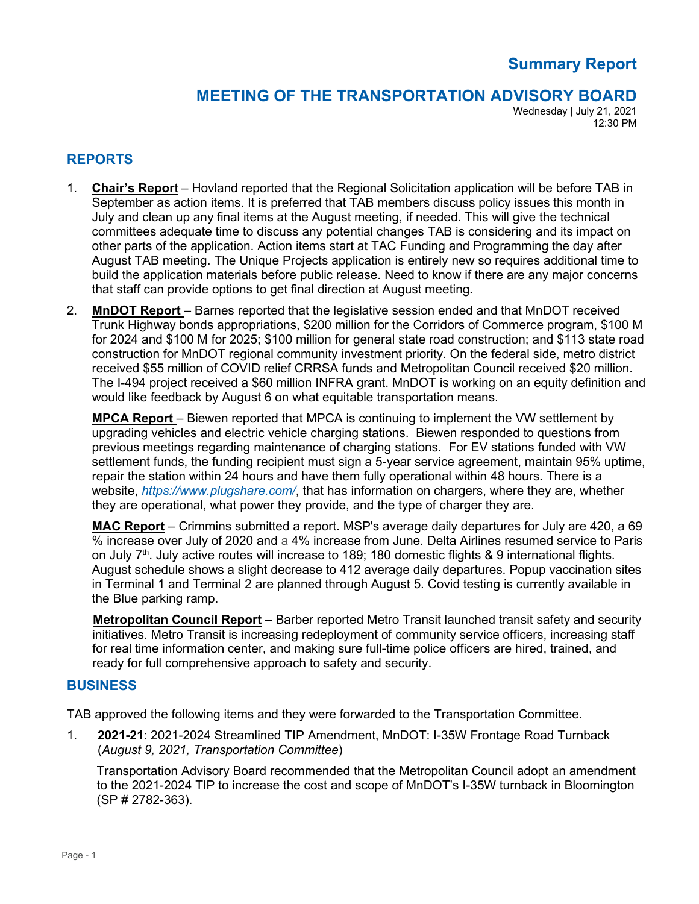# **Summary Report**

## **MEETING OF THE TRANSPORTATION ADVISORY BOARD**

Wednesday | July 21, 2021 12:30 PM

#### **REPORTS**

- 1. **Chair's Repor**t Hovland reported that the Regional Solicitation application will be before TAB in September as action items. It is preferred that TAB members discuss policy issues this month in July and clean up any final items at the August meeting, if needed. This will give the technical committees adequate time to discuss any potential changes TAB is considering and its impact on other parts of the application. Action items start at TAC Funding and Programming the day after August TAB meeting. The Unique Projects application is entirely new so requires additional time to build the application materials before public release. Need to know if there are any major concerns that staff can provide options to get final direction at August meeting.
- 2. **MnDOT Report** Barnes reported that the legislative session ended and that MnDOT received Trunk Highway bonds appropriations, \$200 million for the Corridors of Commerce program, \$100 M for 2024 and \$100 M for 2025; \$100 million for general state road construction; and \$113 state road construction for MnDOT regional community investment priority. On the federal side, metro district received \$55 million of COVID relief CRRSA funds and Metropolitan Council received \$20 million. The I-494 project received a \$60 million INFRA grant. MnDOT is working on an equity definition and would like feedback by August 6 on what equitable transportation means.

**MPCA Report** – Biewen reported that MPCA is continuing to implement the VW settlement by upgrading vehicles and electric vehicle charging stations. Biewen responded to questions from previous meetings regarding maintenance of charging stations. For EV stations funded with VW settlement funds, the funding recipient must sign a 5-year service agreement, maintain 95% uptime, repair the station within 24 hours and have them fully operational within 48 hours. There is a website, *<https://www.plugshare.com/>*, that has information on chargers, where they are, whether they are operational, what power they provide, and the type of charger they are.

**MAC Report** – Crimmins submitted a report. MSP's average daily departures for July are 420, a 69 % increase over July of 2020 and a 4% increase from June. Delta Airlines resumed service to Paris on July  $7<sup>th</sup>$ . July active routes will increase to 189; 180 domestic flights & 9 international flights. August schedule shows a slight decrease to 412 average daily departures. Popup vaccination sites in Terminal 1 and Terminal 2 are planned through August 5. Covid testing is currently available in the Blue parking ramp.

**Metropolitan Council Report** – Barber reported Metro Transit launched transit safety and security initiatives. Metro Transit is increasing redeployment of community service officers, increasing staff for real time information center, and making sure full-time police officers are hired, trained, and ready for full comprehensive approach to safety and security.

#### **BUSINESS**

TAB approved the following items and they were forwarded to the Transportation Committee.

1. **2021-21**: 2021-2024 Streamlined TIP Amendment, MnDOT: I-35W Frontage Road Turnback (*August 9, 2021, Transportation Committee*)

Transportation Advisory Board recommended that the Metropolitan Council adopt an amendment to the 2021-2024 TIP to increase the cost and scope of MnDOT's I-35W turnback in Bloomington (SP # 2782-363).